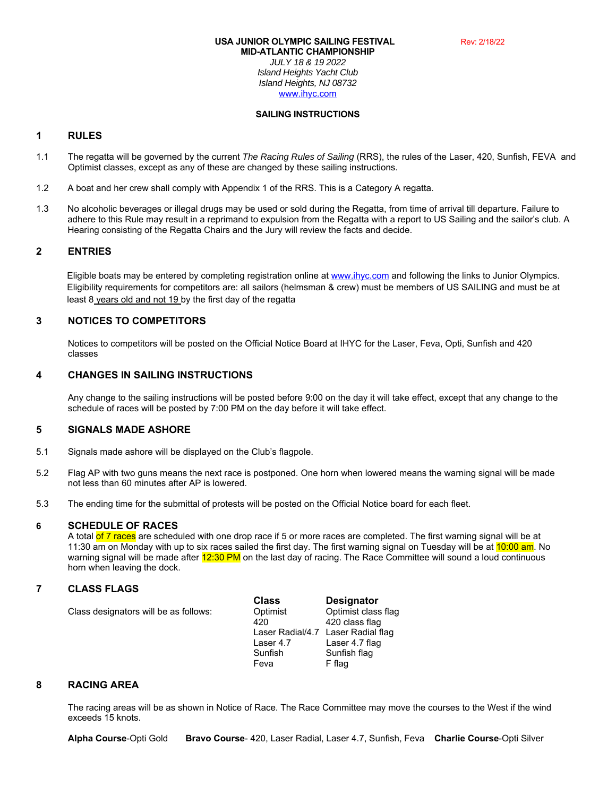# **USA JUNIOR OLYMPIC SAILING FESTIVAL** Rev: 2/18/22

**MID-ATLANTIC CHAMPIONSHIP** *JULY 18 & 19 2022 Island Heights Yacht Club Island Heights, NJ 08732*  www.ihyc.com

#### **SAILING INSTRUCTIONS**

# **1 RULES**

- 1.1 The regatta will be governed by the current *The Racing Rules of Sailing* (RRS), the rules of the Laser, 420, Sunfish, FEVA and Optimist classes, except as any of these are changed by these sailing instructions.
- 1.2 A boat and her crew shall comply with Appendix 1 of the RRS. This is a Category A regatta.
- 1.3 No alcoholic beverages or illegal drugs may be used or sold during the Regatta, from time of arrival till departure. Failure to adhere to this Rule may result in a reprimand to expulsion from the Regatta with a report to US Sailing and the sailor's club. A Hearing consisting of the Regatta Chairs and the Jury will review the facts and decide.

# **2 ENTRIES**

Eligible boats may be entered by completing registration online at www.ihyc.com and following the links to Junior Olympics. Eligibility requirements for competitors are: all sailors (helmsman & crew) must be members of US SAILING and must be at least 8 years old and not 19 by the first day of the regatta

# **3 NOTICES TO COMPETITORS**

 Notices to competitors will be posted on the Official Notice Board at IHYC for the Laser, Feva, Opti, Sunfish and 420 classes

# **4 CHANGES IN SAILING INSTRUCTIONS**

 Any change to the sailing instructions will be posted before 9:00 on the day it will take effect, except that any change to the schedule of races will be posted by 7:00 PM on the day before it will take effect.

# **5 SIGNALS MADE ASHORE**

- 5.1 Signals made ashore will be displayed on the Club's flagpole.
- 5.2 Flag AP with two guns means the next race is postponed. One horn when lowered means the warning signal will be made not less than 60 minutes after AP is lowered.
- 5.3 The ending time for the submittal of protests will be posted on the Official Notice board for each fleet.

# **6 SCHEDULE OF RACES**

A total of 7 races are scheduled with one drop race if 5 or more races are completed. The first warning signal will be at 11:30 am on Monday with up to six races sailed the first day. The first warning signal on Tuesday will be at 10:00 am. No warning signal will be made after 12:30 PM on the last day of racing. The Race Committee will sound a loud continuous horn when leaving the dock.

# **7 CLASS FLAGS**

|                                       | <b>Class</b> | <b>Designator</b>                  |
|---------------------------------------|--------------|------------------------------------|
| Class designators will be as follows: | Optimist     | Optimist class flag                |
|                                       | 420          | 420 class flag                     |
|                                       |              | Laser Radial/4.7 Laser Radial flag |
|                                       | Laser 4.7    | Laser 4.7 flag                     |
|                                       | Sunfish      | Sunfish flag                       |
|                                       | Feva         | F flag                             |

# **8 RACING AREA**

 The racing areas will be as shown in Notice of Race. The Race Committee may move the courses to the West if the wind exceeds 15 knots.

**Alpha Course**-Opti Gold **Bravo Course**- 420, Laser Radial, Laser 4.7, Sunfish, Feva **Charlie Course**-Opti Silver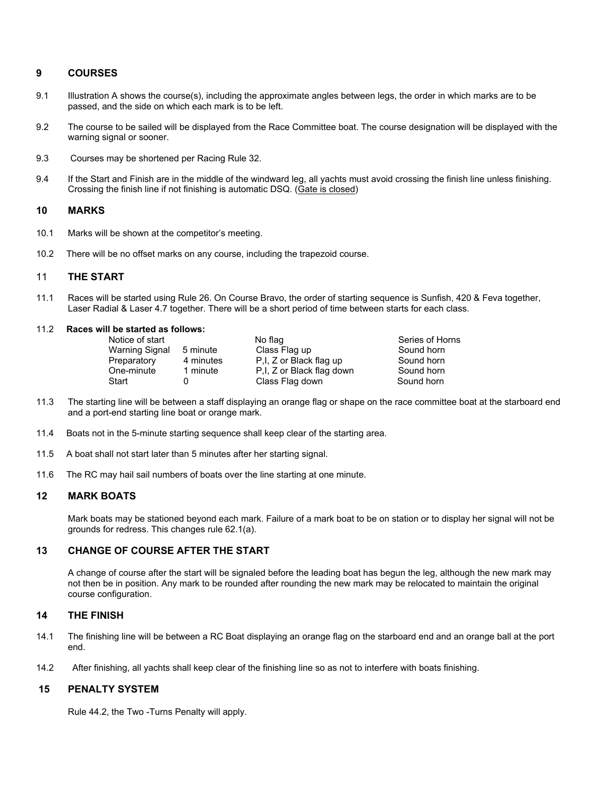# **9 COURSES**

- 9.1 Illustration A shows the course(s), including the approximate angles between legs, the order in which marks are to be passed, and the side on which each mark is to be left.
- 9.2 The course to be sailed will be displayed from the Race Committee boat. The course designation will be displayed with the warning signal or sooner.
- 9.3 Courses may be shortened per Racing Rule 32.
- 9.4 If the Start and Finish are in the middle of the windward leg, all yachts must avoid crossing the finish line unless finishing. Crossing the finish line if not finishing is automatic DSQ. (Gate is closed)

# **10 MARKS**

- 10.1 Marks will be shown at the competitor's meeting.
- 10.2 There will be no offset marks on any course, including the trapezoid course.

# 11 **THE START**

11.1 Races will be started using Rule 26. On Course Bravo, the order of starting sequence is Sunfish, 420 & Feva together, Laser Radial & Laser 4.7 together. There will be a short period of time between starts for each class.

#### 11.2 **Races will be started as follows:**

| Notice of start       |          |
|-----------------------|----------|
| <b>Warning Signal</b> | 5 minute |
| Preparatory           | 4 minut  |
| One-minute            | 1 minute |
| Start                 | O        |

No flag Series of Horns Warning Signal 5 minute Class Flag up Sound horn  $es$  P,I, Z or Black flag up e P,I, Z or Black flag down Sound horn<br>Class Flag down Sound horn Class Flag down

- 11.3 The starting line will be between a staff displaying an orange flag or shape on the race committee boat at the starboard end and a port-end starting line boat or orange mark.
- 11.4 Boats not in the 5-minute starting sequence shall keep clear of the starting area.
- 11.5 A boat shall not start later than 5 minutes after her starting signal.
- 11.6 The RC may hail sail numbers of boats over the line starting at one minute.

# **12 MARK BOATS**

 Mark boats may be stationed beyond each mark. Failure of a mark boat to be on station or to display her signal will not be grounds for redress. This changes rule 62.1(a).

# **13 CHANGE OF COURSE AFTER THE START**

 A change of course after the start will be signaled before the leading boat has begun the leg, although the new mark may not then be in position. Any mark to be rounded after rounding the new mark may be relocated to maintain the original course configuration.

#### **14 THE FINISH**

- 14.1 The finishing line will be between a RC Boat displaying an orange flag on the starboard end and an orange ball at the port end.
- 14.2 After finishing, all yachts shall keep clear of the finishing line so as not to interfere with boats finishing.

# **15 PENALTY SYSTEM**

Rule 44.2, the Two -Turns Penalty will apply.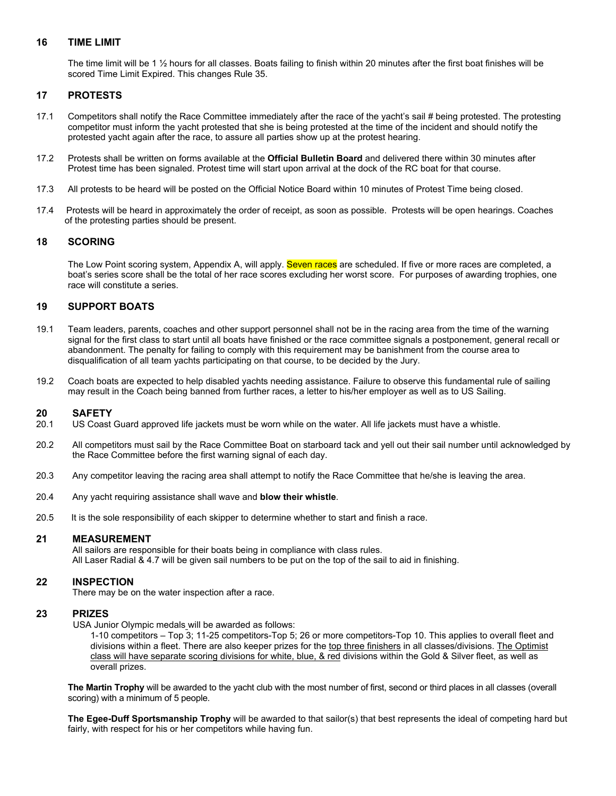# **16 TIME LIMIT**

 The time limit will be 1 ½ hours for all classes. Boats failing to finish within 20 minutes after the first boat finishes will be scored Time Limit Expired. This changes Rule 35.

# **17 PROTESTS**

- 17.1 Competitors shall notify the Race Committee immediately after the race of the yacht's sail # being protested. The protesting competitor must inform the yacht protested that she is being protested at the time of the incident and should notify the protested yacht again after the race, to assure all parties show up at the protest hearing.
- 17.2 Protests shall be written on forms available at the **Official Bulletin Board** and delivered there within 30 minutes after Protest time has been signaled. Protest time will start upon arrival at the dock of the RC boat for that course.
- 17.3 All protests to be heard will be posted on the Official Notice Board within 10 minutes of Protest Time being closed.
- 17.4 Protests will be heard in approximately the order of receipt, as soon as possible. Protests will be open hearings. Coaches of the protesting parties should be present.

# **18 SCORING**

The Low Point scoring system, Appendix A, will apply. Seven races are scheduled. If five or more races are completed, a boat's series score shall be the total of her race scores excluding her worst score. For purposes of awarding trophies, one race will constitute a series.

# **19 SUPPORT BOATS**

- 19.1 Team leaders, parents, coaches and other support personnel shall not be in the racing area from the time of the warning signal for the first class to start until all boats have finished or the race committee signals a postponement, general recall or abandonment. The penalty for failing to comply with this requirement may be banishment from the course area to disqualification of all team yachts participating on that course, to be decided by the Jury.
- 19.2 Coach boats are expected to help disabled yachts needing assistance. Failure to observe this fundamental rule of sailing may result in the Coach being banned from further races, a letter to his/her employer as well as to US Sailing.

# **20 SAFETY**

- 20.1 US Coast Guard approved life jackets must be worn while on the water. All life jackets must have a whistle.
- 20.2 All competitors must sail by the Race Committee Boat on starboard tack and yell out their sail number until acknowledged by the Race Committee before the first warning signal of each day.
- 20.3 Any competitor leaving the racing area shall attempt to notify the Race Committee that he/she is leaving the area.
- 20.4 Any yacht requiring assistance shall wave and **blow their whistle**.
- 20.5 It is the sole responsibility of each skipper to determine whether to start and finish a race.

# **21 MEASUREMENT**

 All sailors are responsible for their boats being in compliance with class rules. All Laser Radial & 4.7 will be given sail numbers to be put on the top of the sail to aid in finishing.

# **22 INSPECTION**

There may be on the water inspection after a race.

# **23 PRIZES**

USA Junior Olympic medals will be awarded as follows:

1-10 competitors – Top 3; 11-25 competitors-Top 5; 26 or more competitors-Top 10. This applies to overall fleet and divisions within a fleet. There are also keeper prizes for the top three finishers in all classes/divisions. The Optimist class will have separate scoring divisions for white, blue, & red divisions within the Gold & Silver fleet, as well as overall prizes.

**The Martin Trophy** will be awarded to the yacht club with the most number of first, second or third places in all classes (overall scoring) with a minimum of 5 people.

**The Egee-Duff Sportsmanship Trophy** will be awarded to that sailor(s) that best represents the ideal of competing hard but fairly, with respect for his or her competitors while having fun.